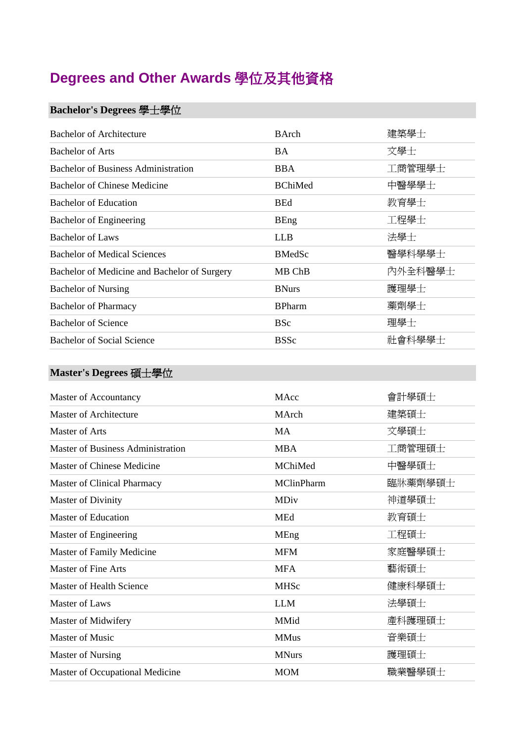# **Degrees and Other Awards** 學位及其他資格

#### **Bachelor's Degrees** 學士學位

| <b>Bachelor of Architecture</b>              | <b>B</b> Arch  | 建築學士    |
|----------------------------------------------|----------------|---------|
| <b>Bachelor of Arts</b>                      | <b>BA</b>      | 文學士     |
| <b>Bachelor of Business Administration</b>   | <b>BBA</b>     | 工商管理學士  |
| Bachelor of Chinese Medicine                 | <b>BChiMed</b> | 中醫學學士   |
| <b>Bachelor of Education</b>                 | <b>BEd</b>     | 教育學士    |
| <b>Bachelor of Engineering</b>               | <b>BEng</b>    | 工程學士    |
| Bachelor of Laws                             | <b>LLB</b>     | 法學士     |
| <b>Bachelor of Medical Sciences</b>          | <b>BMedSc</b>  | 醫學科學學士  |
| Bachelor of Medicine and Bachelor of Surgery | MB ChB         | 內外全科醫學士 |
| <b>Bachelor of Nursing</b>                   | <b>BNurs</b>   | 護理學士    |
| <b>Bachelor of Pharmacy</b>                  | <b>BPharm</b>  | 藥劑學士    |
| <b>Bachelor of Science</b>                   | <b>BSc</b>     | 理學士     |
| <b>Bachelor of Social Science</b>            | <b>BSSc</b>    | 社會科學學士  |

#### **Master's Degrees** 碩士學位

| Master of Accountancy                    | MAcc              | 會計學碩士   |
|------------------------------------------|-------------------|---------|
| <b>Master of Architecture</b>            | MArch             | 建築碩士    |
| <b>Master of Arts</b>                    | <b>MA</b>         | 文學碩士    |
| <b>Master of Business Administration</b> | <b>MBA</b>        | 工商管理碩士  |
| Master of Chinese Medicine               | MChiMed           | 中醫學碩士   |
| <b>Master of Clinical Pharmacy</b>       | <b>MClinPharm</b> | 臨牀藥劑學碩士 |
| <b>Master of Divinity</b>                | MDiv              | 神道學碩士   |
| <b>Master of Education</b>               | <b>MEd</b>        | 教育碩士    |
| Master of Engineering                    | MEng              | 工程碩士    |
| Master of Family Medicine                | <b>MFM</b>        | 家庭醫學碩士  |
| <b>Master of Fine Arts</b>               | <b>MFA</b>        | 藝術碩士    |
| Master of Health Science                 | <b>MHSc</b>       | 健康科學碩士  |
| Master of Laws                           | <b>LLM</b>        | 法學碩士    |
| Master of Midwifery                      | MMid              | 產科護理碩士  |
| Master of Music                          | <b>MMus</b>       | 音樂碩士    |
| <b>Master of Nursing</b>                 | <b>MNurs</b>      | 護理碩士    |
| Master of Occupational Medicine          | <b>MOM</b>        | 職業醫學碩士  |